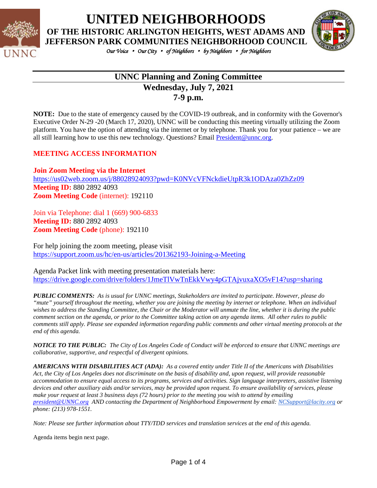

**UNITED NEIGHBORHOODS**

**OF THE HISTORIC ARLINGTON HEIGHTS, WEST ADAMS AND** 



*Our Voice* • *Our City* • *of Neighbors* • *by Neighbors* • *for Neighbors* 

## **UNNC Planning and Zoning Committee Wednesday, July 7, 2021 7-9 p.m.**

**NOTE:** Due to the state of emergency caused by the COVID-19 outbreak, and in conformity with the Governor's Executive Order N-29 -20 (March 17, 2020), UNNC will be conducting this meeting virtually utilizing the Zoom platform. You have the option of attending via the internet or by telephone. Thank you for your patience – we are all still learning how to use this new technology. Questions? Email [President@unnc.org.](mailto:President@unnc.org)

### **MEETING ACCESS INFORMATION**

**Join Zoom Meeting via the Internet** <https://us02web.zoom.us/j/88028924093?pwd=K0NVcVFNckdieUtpR3k1ODAza0ZhZz09> **Meeting ID:** 880 2892 4093 **Zoom Meeting Code** (internet): 192110

Join via Telephone: dial 1 (669) 900-6833 **Meeting ID:** 880 2892 4093 **Zoom Meeting Code** (phone): 192110

For help joining the zoom meeting, please visit <https://support.zoom.us/hc/en-us/articles/201362193-Joining-a-Meeting>

Agenda Packet link with meeting presentation materials here: <https://drive.google.com/drive/folders/1JmeTlVwTnEkkVwy4pGTAjvuxaXO5vF14?usp=sharing>

*PUBLIC COMMENTS: As is usual for UNNC meetings, Stakeholders are invited to participate. However, please do "mute" yourself throughout the meeting, whether you are joining the meeting by internet or telephone. When an individual wishes to address the Standing Committee, the Chair or the Moderator will unmute the line, whether it is during the public comment section on the agenda, or prior to the Committee taking action on any agenda items. All other rules to public comments still apply. Please see expanded information regarding public comments and other virtual meeting protocols at the end of this agenda.*

*NOTICE TO THE PUBLIC: The City of Los Angeles Code of Conduct will be enforced to ensure that UNNC meetings are collaborative, supportive, and respectful of divergent opinions.* 

*AMERICANS WITH DISABILITIES ACT (ADA): As a covered entity under Title II of the Americans with Disabilities Act, the City of Los Angeles does not discriminate on the basis of disability and, upon request, will provide reasonable accommodation to ensure equal access to its programs, services and activities. Sign language interpreters, assistive listening devices and other auxiliary aids and/or services, may be provided upon request. To ensure availability of services, please make your request at least 3 business days (72 hours) prior to the meeting you wish to attend by emailing [president@UNNC.org](mailto:president@UNNC.org) AND contacting the Department of Neighborhood Empowerment by email: [NCSupport@lacity.org](mailto:NCSupport@lacity.org) or phone: (213) 978-1551.*

*Note: Please see further information about TTY/TDD services and translation services at the end of this agenda.*

Agenda items begin next page.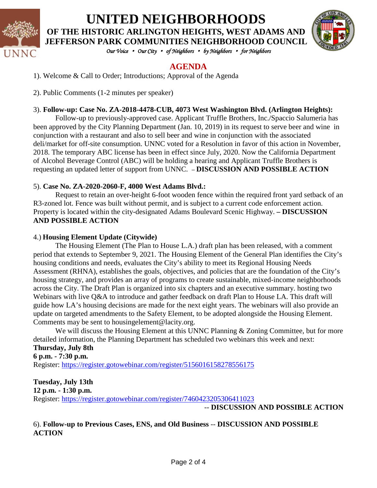

# **UNITED NEIGHBORHOODS OF THE HISTORIC ARLINGTON HEIGHTS, WEST ADAMS AND JEFFERSON PARK COMMUNITIES NEIGHBORHOOD COUNCIL**



*Our Voice* • *Our City* • *of Neighbors* • *by Neighbors* • *for Neighbors* 

## **AGENDA**

1). Welcome & Call to Order; Introductions; Approval of the Agenda

2). Public Comments (1-2 minutes per speaker)

#### 3). **Follow-up: Case No. ZA-2018-4478-CUB, 4073 West Washington Blvd. (Arlington Heights):**

Follow-up to previously-approved case. Applicant Truffle Brothers, Inc./Spaccio Salumeria has been approved by the City Planning Department (Jan. 10, 2019) in its request to serve beer and wine in conjunction with a restaurant and also to sell beer and wine in conjunction with the associated deli/market for off-site consumption. UNNC voted for a Resolution in favor of this action in November, 2018. The temporary ABC license has been in effect since July, 2020. Now the California Department of Alcohol Beverage Control (ABC) will be holding a hearing and Applicant Truffle Brothers is requesting an updated letter of support from UNNC. – **DISCUSSION AND POSSIBLE ACTION**

### 5). **Case No. ZA-2020-2060-F, 4000 West Adams Blvd.:**

Request to retain an over-height 6-foot wooden fence within the required front yard setback of an R3-zoned lot. Fence was built without permit, and is subject to a current code enforcement action. Property is located within the city-designated Adams Boulevard Scenic Highway. **– DISCUSSION AND POSSIBLE ACTION**

#### 4.) **Housing Element Update (Citywide)**

The Housing Element (The Plan to House L.A.) draft plan has been released, with a comment period that extends to September 9, 2021. The Housing Element of the General Plan identifies the City's housing conditions and needs, evaluates the City's ability to meet its Regional Housing Needs Assessment (RHNA), establishes the goals, objectives, and policies that are the foundation of the City's housing strategy, and provides an array of programs to create sustainable, mixed-income neighborhoods across the City. The Draft Plan is organized into six chapters and an executive summary. hosting two Webinars with live Q&A to introduce and gather feedback on draft Plan to House LA. This draft will guide how LA's housing decisions are made for the next eight years. The webinars will also provide an update on targeted amendments to the Safety Element, to be adopted alongside the Housing Element. Comments may be sent to housingelement@lacity.org.

We will discuss the Housing Element at this UNNC Planning & Zoning Committee, but for more detailed information, the Planning Department has scheduled two webinars this week and next:

#### **Thursday, July 8th 6 p.m. - 7:30 p.m.**

Register:<https://register.gotowebinar.com/register/5156016158278556175>

**Tuesday, July 13th 12 p.m. - 1:30 p.m.** Register: <https://register.gotowebinar.com/register/7460423205306411023>

-- **DISCUSSION AND POSSIBLE ACTION**

6). **Follow-up to Previous Cases, ENS, and Old Business** -- **DISCUSSION AND POSSIBLE ACTION**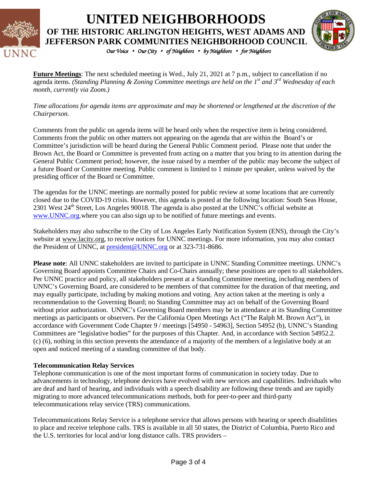

**UNITED NEIGHBORHOODS OF THE HISTORIC ARLINGTON HEIGHTS, WEST ADAMS AND JEFFERSON PARK COMMUNITIES NEIGHBORHOOD COUNCIL**



*Our Voice* • *Our City* • *of Neighbors* • *by Neighbors* • *for Neighbors* 

**Future Meetings**: The next scheduled meeting is Wed., July 21, 2021 at 7 p.m., subject to cancellation if no agenda items. *(Standing Planning & Zoning Committee meetings are held on the 1st and 3rd Wednesday of each month, currently via Zoom.)*

*Time allocations for agenda items are approximate and may be shortened or lengthened at the discretion of the Chairperson.*

Comments from the public on agenda items will be heard only when the respective item is being considered. Comments from the public on other matters not appearing on the agenda that are within the Board's or Committee's jurisdiction will be heard during the General Public Comment period. Please note that under the Brown Act, the Board or Committee is prevented from acting on a matter that you bring to its attention during the General Public Comment period; however, the issue raised by a member of the public may become the subject of a future Board or Committee meeting. Public comment is limited to 1 minute per speaker, unless waived by the presiding officer of the Board or Committee.

The agendas for the UNNC meetings are normally posted for public review at some locations that are currently closed due to the COVID-19 crisis. However, this agenda is posted at the following location: South Seas House, 2301 West  $24<sup>th</sup>$  Street, Los Angeles 90018. The agenda is also posted at the UNNC's official website at [www.UNNC.org.](http://www.unnc.org/)where you can also sign up to be notified of future meetings and events.

Stakeholders may also subscribe to the City of Los Angeles Early Notification System (ENS), through the City's website at www.lacity.org, to receive notices for UNNC meetings. For more information, you may also contact the President of UNNC, at [president@UNNC.org](mailto:president@UNNC.org) or at 323-731-8686.

**Please note**: All UNNC stakeholders are invited to participate in UNNC Standing Committee meetings. UNNC's Governing Board appoints Committee Chairs and Co-Chairs annually; these positions are open to all stakeholders. Per UNNC practice and policy, all stakeholders present at a Standing Committee meeting, including members of UNNC's Governing Board, are considered to be members of that committee for the duration of that meeting, and may equally participate, including by making motions and voting. Any action taken at the meeting is only a recommendation to the Governing Board; no Standing Committee may act on behalf of the Governing Board without prior authorization. UNNC's Governing Board members may be in attendance at its Standing Committee meetings as participants or observers. Per the California Open Meetings Act ("The Ralph M. Brown Act"), in accordance with Government Code Chapter 9 / meetings [54950 - 54963], Section 54952 (b), UNNC's Standing Committees are "legislative bodies" for the purposes of this Chapter. And, in accordance with Section 54952.2. (c) (6), nothing in this section prevents the attendance of a majority of the members of a legislative body at an open and noticed meeting of a standing committee of that body.

#### **Telecommunication Relay Services**

Telephone communication is one of the most important forms of communication in society today. Due to advancements in technology, telephone devices have evolved with new services and capabilities. Individuals who are deaf and hard of hearing, and individuals with a speech disability are following these trends and are rapidly migrating to more advanced telecommunications methods, both for peer-to-peer and third-party telecommunications relay service (TRS) communications.

Telecommunications Relay Service is a telephone service that allows persons with hearing or speech disabilities to place and receive telephone calls. TRS is available in all 50 states, the District of Columbia, Puerto Rico and the U.S. territories for local and/or long distance calls. TRS providers –